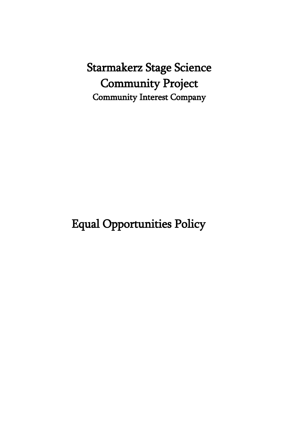Starmakerz Stage Science Community Project Community Interest Company

Equal Opportunities Policy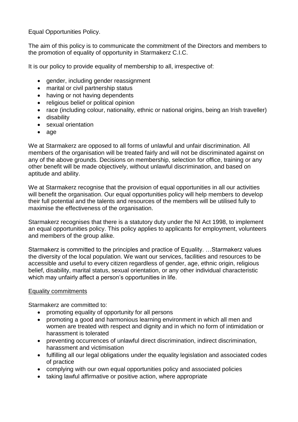Equal Opportunities Policy.

The aim of this policy is to communicate the commitment of the Directors and members to the promotion of equality of opportunity in Starmakerz C.I.C.

It is our policy to provide equality of membership to all, irrespective of:

- gender, including gender reassignment
- marital or civil partnership status
- having or not having dependents
- religious belief or political opinion
- race (including colour, nationality, ethnic or national origins, being an Irish traveller)
- disability
- sexual orientation
- age

We at Starmakerz are opposed to all forms of unlawful and unfair discrimination. All members of the organisation will be treated fairly and will not be discriminated against on any of the above grounds. Decisions on membership, selection for office, training or any other benefit will be made objectively, without unlawful discrimination, and based on aptitude and ability.

We at Starmakerz recognise that the provision of equal opportunities in all our activities will benefit the organisation. Our equal opportunities policy will help members to develop their full potential and the talents and resources of the members will be utilised fully to maximise the effectiveness of the organisation.

Starmakerz recognises that there is a statutory duty under the NI Act 1998, to implement an equal opportunities policy. This policy applies to applicants for employment, volunteers and members of the group alike.

Starmakerz is committed to the principles and practice of Equality. …Starmakerz values the diversity of the local population. We want our services, facilities and resources to be accessible and useful to every citizen regardless of gender, age, ethnic origin, religious belief, disability, marital status, sexual orientation, or any other individual characteristic which may unfairly affect a person's opportunities in life.

## Equality commitments

Starmakerz are committed to:

- promoting equality of opportunity for all persons
- promoting a good and harmonious learning environment in which all men and women are treated with respect and dignity and in which no form of intimidation or harassment is tolerated
- preventing occurrences of unlawful direct discrimination, indirect discrimination, harassment and victimisation
- fulfilling all our legal obligations under the equality legislation and associated codes of practice
- complying with our own equal opportunities policy and associated policies
- taking lawful affirmative or positive action, where appropriate